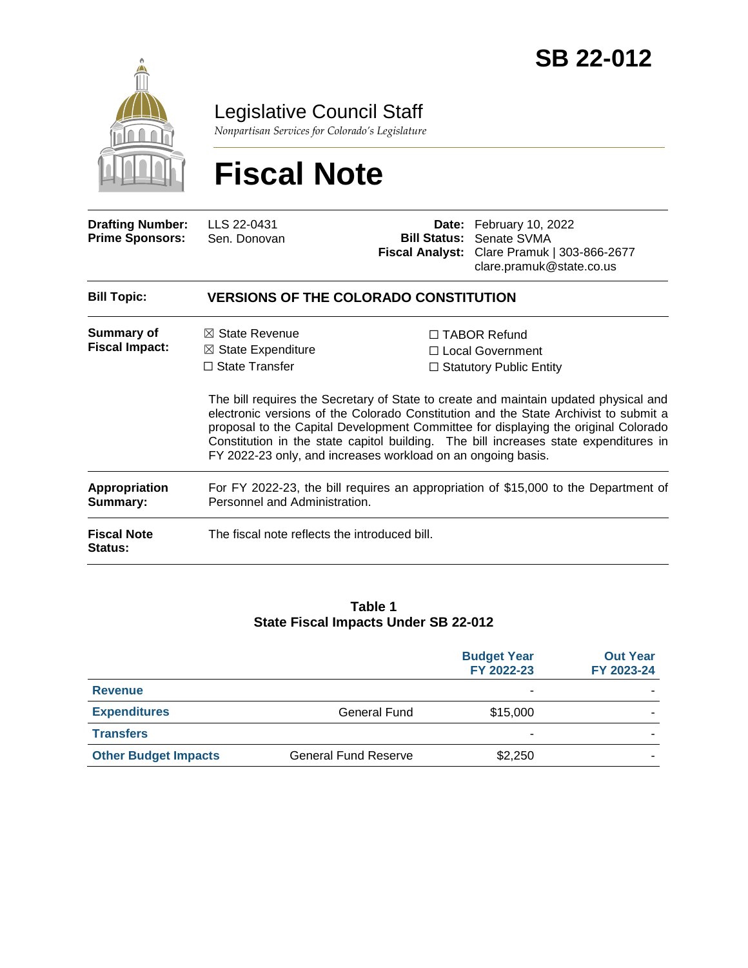

Legislative Council Staff

*Nonpartisan Services for Colorado's Legislature*

# **Fiscal Note**

| <b>Drafting Number:</b><br><b>Prime Sponsors:</b> | LLS 22-0431<br>Sen. Donovan                                                                                                                         | <b>Fiscal Analyst:</b> | Date: February 10, 2022<br><b>Bill Status: Senate SVMA</b><br>Clare Pramuk   303-866-2677<br>clare.pramuk@state.co.us                                                                                                                                                                                                                                                                                                                     |
|---------------------------------------------------|-----------------------------------------------------------------------------------------------------------------------------------------------------|------------------------|-------------------------------------------------------------------------------------------------------------------------------------------------------------------------------------------------------------------------------------------------------------------------------------------------------------------------------------------------------------------------------------------------------------------------------------------|
| <b>Bill Topic:</b>                                | <b>VERSIONS OF THE COLORADO CONSTITUTION</b>                                                                                                        |                        |                                                                                                                                                                                                                                                                                                                                                                                                                                           |
| Summary of<br><b>Fiscal Impact:</b>               | $\boxtimes$ State Revenue<br>$\boxtimes$ State Expenditure<br>$\Box$ State Transfer<br>FY 2022-23 only, and increases workload on an ongoing basis. |                        | $\Box$ TABOR Refund<br>□ Local Government<br>$\Box$ Statutory Public Entity<br>The bill requires the Secretary of State to create and maintain updated physical and<br>electronic versions of the Colorado Constitution and the State Archivist to submit a<br>proposal to the Capital Development Committee for displaying the original Colorado<br>Constitution in the state capitol building. The bill increases state expenditures in |
| <b>Appropriation</b><br>Summary:                  | For FY 2022-23, the bill requires an appropriation of \$15,000 to the Department of<br>Personnel and Administration.                                |                        |                                                                                                                                                                                                                                                                                                                                                                                                                                           |
| <b>Fiscal Note</b><br><b>Status:</b>              | The fiscal note reflects the introduced bill.                                                                                                       |                        |                                                                                                                                                                                                                                                                                                                                                                                                                                           |

#### **Table 1 State Fiscal Impacts Under SB 22-012**

| <b>Budget Year</b><br>FY 2022-23 | <b>Out Year</b><br>FY 2023-24 |
|----------------------------------|-------------------------------|
| -                                |                               |
| \$15,000                         |                               |
|                                  |                               |
| \$2,250                          |                               |
|                                  |                               |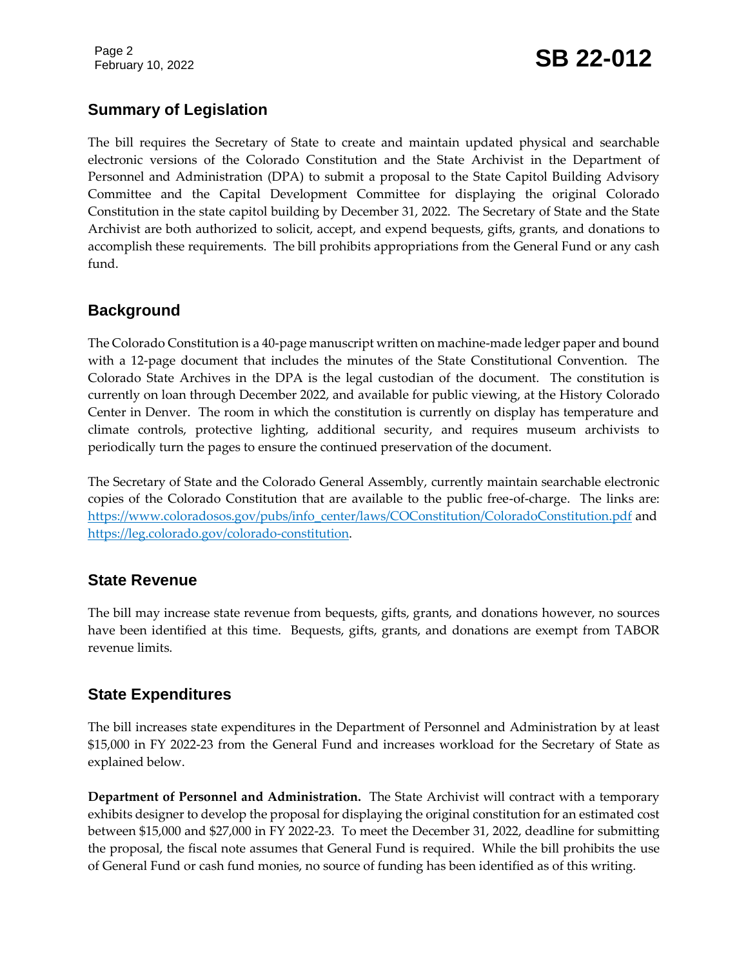Page 2

# February 10, 2022 **SB 22-012**

# **Summary of Legislation**

The bill requires the Secretary of State to create and maintain updated physical and searchable electronic versions of the Colorado Constitution and the State Archivist in the Department of Personnel and Administration (DPA) to submit a proposal to the State Capitol Building Advisory Committee and the Capital Development Committee for displaying the original Colorado Constitution in the state capitol building by December 31, 2022. The Secretary of State and the State Archivist are both authorized to solicit, accept, and expend bequests, gifts, grants, and donations to accomplish these requirements. The bill prohibits appropriations from the General Fund or any cash fund.

#### **Background**

The Colorado Constitution is a 40-page manuscript written on machine-made ledger paper and bound with a 12-page document that includes the minutes of the State Constitutional Convention. The Colorado State Archives in the DPA is the legal custodian of the document. The constitution is currently on loan through December 2022, and available for public viewing, at the History Colorado Center in Denver. The room in which the constitution is currently on display has temperature and climate controls, protective lighting, additional security, and requires museum archivists to periodically turn the pages to ensure the continued preservation of the document.

The Secretary of State and the Colorado General Assembly, currently maintain searchable electronic copies of the Colorado Constitution that are available to the public free-of-charge. The links are: [https://www.coloradosos.gov/pubs/info\\_center/laws/COConstitution/ColoradoConstitution.pdf](https://www.coloradosos.gov/pubs/info_center/laws/COConstitution/ColoradoConstitution.pdf) and [https://leg.colorado.gov/colorado-constitution.](https://leg.colorado.gov/colorado-constitution)

# **State Revenue**

The bill may increase state revenue from bequests, gifts, grants, and donations however, no sources have been identified at this time. Bequests, gifts, grants, and donations are exempt from TABOR revenue limits.

# **State Expenditures**

The bill increases state expenditures in the Department of Personnel and Administration by at least \$15,000 in FY 2022-23 from the General Fund and increases workload for the Secretary of State as explained below.

**Department of Personnel and Administration.** The State Archivist will contract with a temporary exhibits designer to develop the proposal for displaying the original constitution for an estimated cost between \$15,000 and \$27,000 in FY 2022-23. To meet the December 31, 2022, deadline for submitting the proposal, the fiscal note assumes that General Fund is required. While the bill prohibits the use of General Fund or cash fund monies, no source of funding has been identified as of this writing.